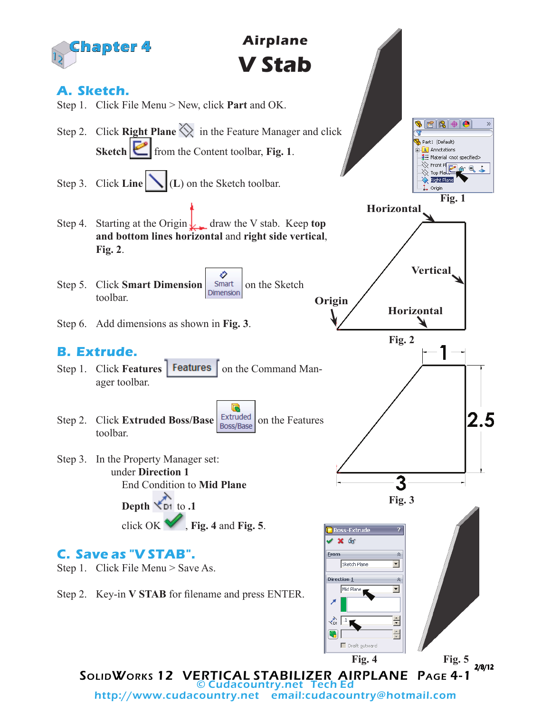

http://www.cudacountry.net email:cudacountry@hotmail.com